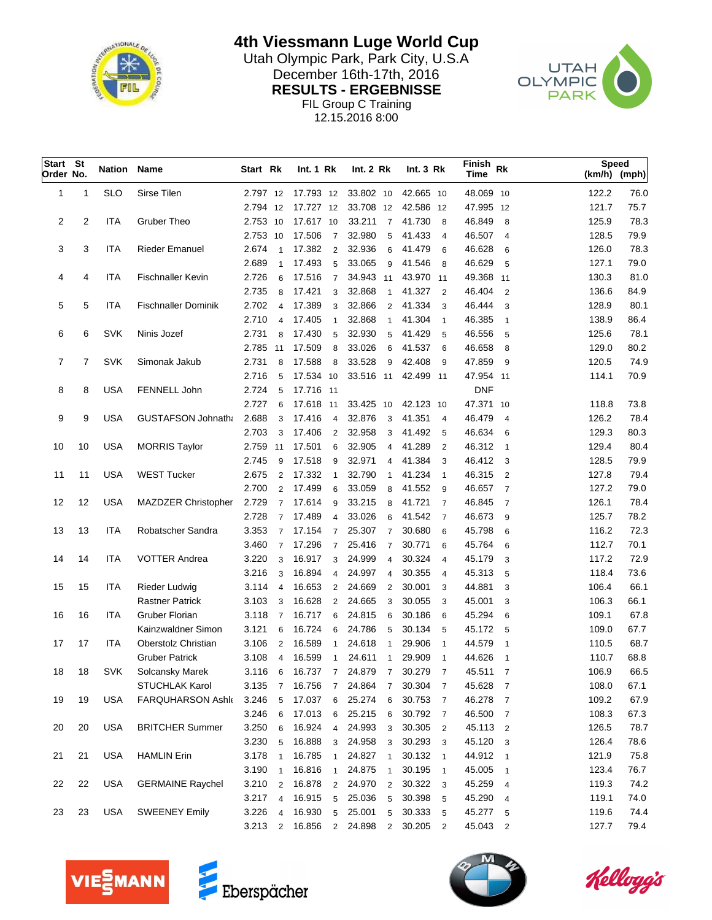

**4th Viessmann Luge World Cup**

Utah Olympic Park, Park City, U.S.A<br>Desember 16th-17th, 2016 December 16th-17th, 2016<br>
RESULTS - ERGEBNISSE<br>
PARK **RESULTS - ERGEBNISSE** FIL Group C Training 12.15.2016 8:00



| Start St<br>Order No. |    | <b>Nation Name</b> |                            | Start Rk        |                | Int.1 Rk  |                 | Int. 2 Rk                        |                | Int.3 Rk  |                          | Finish<br><b>Time</b> | <b>Rk</b>                  |       | <b>Speed</b><br>$(km/h)$ (mph) |
|-----------------------|----|--------------------|----------------------------|-----------------|----------------|-----------|-----------------|----------------------------------|----------------|-----------|--------------------------|-----------------------|----------------------------|-------|--------------------------------|
| 1                     | 1  | <b>SLO</b>         | Sirse Tilen                | 2.797 12        |                | 17.793 12 |                 | 33.802 10                        |                | 42.665 10 |                          | 48.069 10             |                            | 122.2 | 76.0                           |
|                       |    |                    |                            | 2.794 12        |                | 17.727 12 |                 | 33.708 12                        |                | 42.586 12 |                          | 47.995 12             |                            | 121.7 | 75.7                           |
| 2                     | 2  | <b>ITA</b>         | <b>Gruber Theo</b>         | 2.753 10        |                | 17.617 10 |                 | 33.211<br>$\overline{7}$         |                | 41.730    | 8                        | 46.849                | 8                          | 125.9 | 78.3                           |
|                       |    |                    |                            | 2.753 10        |                | 17.506    | $\overline{7}$  | 32.980<br>5                      |                | 41.433    | $\overline{4}$           | 46.507                | $\overline{4}$             | 128.5 | 79.9                           |
| 3                     | 3  | <b>ITA</b>         | <b>Rieder Emanuel</b>      | 2.674           | $\mathbf{1}$   | 17.382    | 2               | 32.936<br>6                      |                | 41.479    | 6                        | 46.628                | 6                          | 126.0 | 78.3                           |
|                       |    |                    |                            | 2.689           | $\mathbf{1}$   | 17.493    | $5\phantom{.0}$ | 33.065<br>9                      |                | 41.546    | 8                        | 46.629                | 5                          | 127.1 | 79.0                           |
| 4                     | 4  | <b>ITA</b>         | <b>Fischnaller Kevin</b>   | 2.726           | 6              | 17.516    | $\overline{7}$  | 34.943 11                        |                | 43.970 11 |                          | 49.368 11             |                            | 130.3 | 81.0                           |
|                       |    |                    |                            | 2.735           | 8              | 17.421    | 3               | 32.868<br>$\mathbf{1}$           |                | 41.327    | $\overline{2}$           | 46.404                | $\overline{2}$             | 136.6 | 84.9                           |
| 5                     | 5  | <b>ITA</b>         | <b>Fischnaller Dominik</b> | 2.702           | 4              | 17.389    | 3               | 32.866<br>$\overline{2}$         |                | 41.334    | 3                        | 46.444                | 3                          | 128.9 | 80.1                           |
|                       |    |                    |                            | 2.710           | 4              | 17.405    | $\overline{1}$  | 32.868<br>$\mathbf{1}$           |                | 41.304    | $\overline{1}$           | 46.385                | $\overline{1}$             | 138.9 | 86.4                           |
| 6                     | 6  | <b>SVK</b>         | Ninis Jozef                | 2.731           | 8              | 17.430    | 5               | 32.930<br>5                      |                | 41.429    | 5                        | 46.556                | 5                          | 125.6 | 78.1                           |
|                       |    |                    |                            | 2.785 11        |                | 17.509    | 8               | 33.026<br>6                      |                | 41.537    | 6                        | 46.658                | 8                          | 129.0 | 80.2                           |
| 7                     | 7  | <b>SVK</b>         | Simonak Jakub              | 2.731           | 8              | 17.588    | 8               | 33.528<br>9                      |                | 42.408    | 9                        | 47.859                | 9                          | 120.5 | 74.9                           |
|                       |    |                    |                            | 2.716           | 5              | 17.534 10 |                 | 33.516 11 42.499 11              |                |           |                          | 47.954 11             |                            | 114.1 | 70.9                           |
| 8                     | 8  | <b>USA</b>         | FENNELL John               | 2.724           | 5              | 17.716 11 |                 |                                  |                |           |                          | <b>DNF</b>            |                            |       |                                |
|                       |    |                    |                            | 2.727           | 6              | 17.618 11 |                 | 33.425 10                        |                | 42.123 10 |                          | 47.371 10             |                            | 118.8 | 73.8                           |
| 9                     | 9  | <b>USA</b>         | <b>GUSTAFSON Johnath:</b>  | 2.688           | 3              | 17.416    | $\overline{4}$  | 32.876<br>3                      |                | 41.351    | $\overline{4}$           | 46.479                | $\overline{4}$             | 126.2 | 78.4                           |
|                       |    |                    |                            | 2.703           | 3              | 17.406    | 2               | 32.958<br>3                      |                | 41.492    | - 5                      | 46.634                | 6                          | 129.3 | 80.3                           |
| 10                    | 10 | <b>USA</b>         | <b>MORRIS Taylor</b>       | 2.759 11        |                | 17.501    | 6               | 32.905                           | $\overline{4}$ | 41.289    | $\overline{2}$           | 46.312                | $\overline{\phantom{0}}$ 1 | 129.4 | 80.4                           |
|                       |    |                    |                            | 2.745           | 9              | 17.518    | 9               | 32.971                           | $\overline{4}$ | 41.384    | 3                        | 46.412                | 3                          | 128.5 | 79.9                           |
| 11                    | 11 | <b>USA</b>         | <b>WEST Tucker</b>         | 2.675           | $\overline{2}$ | 17.332    | $\overline{1}$  | 32.790<br>$\overline{1}$         |                | 41.234    | $\overline{1}$           | 46.315                | $\overline{2}$             | 127.8 | 79.4                           |
|                       |    |                    |                            | 2.700           | $\overline{2}$ | 17.499    | 6               | 33.059<br>8                      |                | 41.552    | -9                       | 46.657                | $\overline{7}$             | 127.2 | 79.0                           |
| 12                    | 12 | <b>USA</b>         | MAZDZER Christopher        | 2.729           | $\overline{7}$ | 17.614    | 9               | 33.215<br>8                      |                | 41.721    | $\overline{7}$           | 46.845                | $\overline{7}$             | 126.1 | 78.4                           |
|                       |    |                    |                            | 2.728           | $\overline{7}$ | 17.489    | $\overline{4}$  | 33.026<br>6                      |                | 41.542    | $\overline{7}$           | 46.673                | 9                          | 125.7 | 78.2                           |
| 13                    | 13 | ITA                | Robatscher Sandra          | 3.353           | $\overline{7}$ | 17.154    | $\overline{7}$  | 25.307<br>$\overline{7}$         |                | 30.680    | 6                        | 45.798                | 6                          | 116.2 | 72.3                           |
|                       |    |                    |                            | 3.460           | $\overline{7}$ | 17.296    | $\overline{7}$  | 25.416<br>$\overline{7}$         |                | 30.771    | 6                        | 45.764                | 6                          | 112.7 | 70.1                           |
| 14                    | 14 | <b>ITA</b>         | <b>VOTTER Andrea</b>       | 3.220           | 3              | 16.917    | 3               | 24.999<br>4                      |                | 30.324    | $\overline{4}$           | 45.179                | 3                          | 117.2 | 72.9                           |
|                       |    |                    |                            | 3.216           | 3              | 16.894    | 4               | 24.997<br>$\overline{4}$         |                | 30.355    | $\overline{4}$           | 45.313                | 5                          | 118.4 | 73.6                           |
| 15                    | 15 | <b>ITA</b>         | <b>Rieder Ludwig</b>       | $3.114 \quad 4$ |                | 16.653    | 2               | 24.669<br>2                      |                | 30.001    | 3                        | 44.881                | 3                          | 106.4 | 66.1                           |
|                       |    |                    | <b>Rastner Patrick</b>     | 3.103           | 3              | 16.628    | $\overline{2}$  | 24.665<br>3                      |                | 30.055    | 3                        | 45.001                | 3                          | 106.3 | 66.1                           |
| 16                    | 16 | ITA                | Gruber Florian             | 3.118           | $\overline{7}$ | 16.717    | 6               | 24.815<br>6                      |                | 30.186    | 6                        | 45.294                | 6                          | 109.1 | 67.8                           |
|                       |    |                    | Kainzwaldner Simon         | 3.121           | 6              | 16.724    | 6               | 24.786<br>5                      |                | 30.134    | 5                        | 45.172                | 5                          | 109.0 | 67.7                           |
| 17                    | 17 | ITA                | Oberstolz Christian        | 3.106           | $\overline{2}$ | 16.589    | $\mathbf{1}$    | 24.618<br>$\mathbf{1}$           |                | 29.906    | $\mathbf{1}$             | 44.579                | $\overline{1}$             | 110.5 | 68.7                           |
|                       |    |                    | <b>Gruber Patrick</b>      | 3.108           | 4              | 16.599    | $\mathbf{1}$    | 24.611<br>$\mathbf{1}$           |                | 29.909    | $\mathbf{1}$             | 44.626                | $\overline{1}$             | 110.7 | 68.8                           |
| 18                    | 18 | <b>SVK</b>         | <b>Solcansky Marek</b>     | $3.116$ 6       |                | 16.737 7  |                 | 24.879<br>$\overline{7}$         |                | 30.279    | $\overline{7}$           | 45.511                | $\overline{7}$             | 106.9 | 66.5                           |
|                       |    |                    | STUCHLAK Karol             | 3.135           | $\overline{7}$ | 16.756    | $7\overline{ }$ | 24.864<br>$\overline{7}$         |                | 30.304    | $\overline{7}$           | 45.628                | $\overline{7}$             | 108.0 | 67.1                           |
| 19                    | 19 | <b>USA</b>         | FARQUHARSON Ashle          | 3.246           | 5              | 17.037    | 6               | 25.274<br>6                      |                | 30.753    | $\overline{7}$           | 46.278                | $\overline{7}$             | 109.2 | 67.9                           |
|                       |    |                    |                            | 3.246           | 6              | 17.013    | 6               | 25.215<br>6                      |                | 30.792 7  |                          | 46.500 7              |                            | 108.3 | 67.3                           |
| 20                    | 20 | <b>USA</b>         | <b>BRITCHER Summer</b>     | 3.250           | 6              | 16.924    | $\overline{4}$  | 24.993<br>3                      |                | 30.305    | $\overline{2}$           | 45.113 2              |                            | 126.5 | 78.7                           |
|                       |    |                    |                            | 3.230           | 5              | 16.888    | 3               | 24.958<br>3                      |                | 30.293    | 3                        | 45.120 3              |                            | 126.4 | 78.6                           |
| 21                    | 21 | <b>USA</b>         | <b>HAMLIN Erin</b>         | 3.178           | $\mathbf{1}$   | 16.785    | $\overline{1}$  | 24.827<br>$\mathbf{1}$           |                | 30.132 1  |                          | 44.912 1              |                            | 121.9 | 75.8                           |
|                       |    |                    |                            | 3.190           | $\mathbf{1}$   | 16.816    | $\overline{1}$  | 24.875<br>$\mathbf{1}$           |                | 30.195    | $\overline{1}$           | 45.005                | $\overline{\phantom{0}}$ 1 | 123.4 | 76.7                           |
| 22                    | 22 | <b>USA</b>         | <b>GERMAINE Raychel</b>    | 3.210           | $\overline{2}$ | 16.878    | $\overline{2}$  | 24.970<br>$\overline{2}$         |                | 30.322    | 3                        | 45.259 4              |                            | 119.3 | 74.2                           |
|                       |    |                    |                            | 3.217           | 4              | 16.915    | $5\phantom{.0}$ | 25.036<br>5                      |                | 30.398    | - 5                      | 45.290                | $\overline{4}$             | 119.1 | 74.0                           |
| 23                    | 23 | <b>USA</b>         | <b>SWEENEY Emily</b>       | 3.226           | $\overline{4}$ | 16.930 5  |                 | 25.001<br>5                      |                | 30.333    | 5                        | 45.277 5              |                            | 119.6 | 74.4                           |
|                       |    |                    |                            |                 |                |           |                 | 3.213 2 16.856 2 24.898 2 30.205 |                |           | $\overline{\phantom{a}}$ | 45.043 2              |                            | 127.7 | 79.4                           |